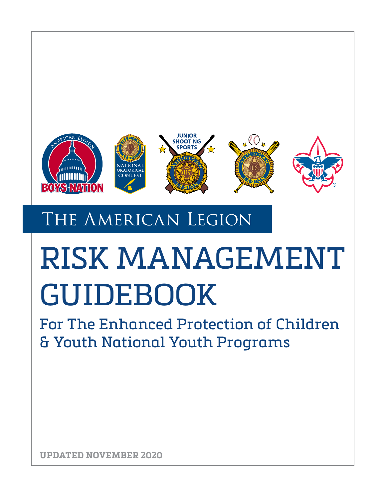

# THE AMERICAN LEGION

# RISK MANAGEMENT GUIDEBOOK

For The Enhanced Protection of Children & Youth National Youth Programs

**UPDATED NOVEMBER 2020**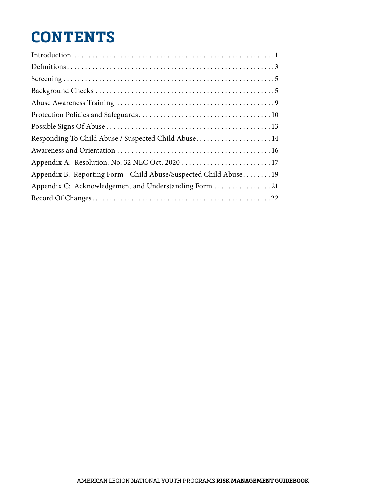# **CONTENTS**

| Responding To Child Abuse / Suspected Child Abuse 14              |
|-------------------------------------------------------------------|
|                                                                   |
|                                                                   |
| Appendix B: Reporting Form - Child Abuse/Suspected Child Abuse 19 |
| Appendix C: Acknowledgement and Understanding Form 21             |
|                                                                   |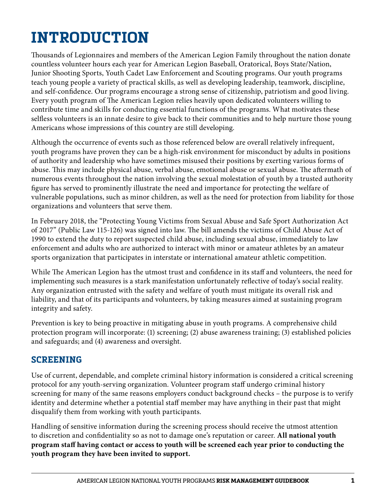# **INTRODUCTION**

Thousands of Legionnaires and members of the American Legion Family throughout the nation donate countless volunteer hours each year for American Legion Baseball, Oratorical, Boys State/Nation, Junior Shooting Sports, Youth Cadet Law Enforcement and Scouting programs. Our youth programs teach young people a variety of practical skills, as well as developing leadership, teamwork, discipline, and self-confidence. Our programs encourage a strong sense of citizenship, patriotism and good living. Every youth program of The American Legion relies heavily upon dedicated volunteers willing to contribute time and skills for conducting essential functions of the programs. What motivates these selfless volunteers is an innate desire to give back to their communities and to help nurture those young Americans whose impressions of this country are still developing.

Although the occurrence of events such as those referenced below are overall relatively infrequent, youth programs have proven they can be a high-risk environment for misconduct by adults in positions of authority and leadership who have sometimes misused their positions by exerting various forms of abuse. This may include physical abuse, verbal abuse, emotional abuse or sexual abuse. The aftermath of numerous events throughout the nation involving the sexual molestation of youth by a trusted authority figure has served to prominently illustrate the need and importance for protecting the welfare of vulnerable populations, such as minor children, as well as the need for protection from liability for those organizations and volunteers that serve them.

In February 2018, the "Protecting Young Victims from Sexual Abuse and Safe Sport Authorization Act of 2017" (Public Law 115-126) was signed into law. The bill amends the victims of Child Abuse Act of 1990 to extend the duty to report suspected child abuse, including sexual abuse, immediately to law enforcement and adults who are authorized to interact with minor or amateur athletes by an amateur sports organization that participates in interstate or international amateur athletic competition.

While The American Legion has the utmost trust and confidence in its staff and volunteers, the need for implementing such measures is a stark manifestation unfortunately reflective of today's social reality. Any organization entrusted with the safety and welfare of youth must mitigate its overall risk and liability, and that of its participants and volunteers, by taking measures aimed at sustaining program integrity and safety.

Prevention is key to being proactive in mitigating abuse in youth programs. A comprehensive child protection program will incorporate: (1) screening; (2) abuse awareness training; (3) established policies and safeguards; and (4) awareness and oversight.

# **SCREENING**

Use of current, dependable, and complete criminal history information is considered a critical screening protocol for any youth-serving organization. Volunteer program staff undergo criminal history screening for many of the same reasons employers conduct background checks – the purpose is to verify identity and determine whether a potential staff member may have anything in their past that might disqualify them from working with youth participants.

Handling of sensitive information during the screening process should receive the utmost attention to discretion and confidentiality so as not to damage one's reputation or career. **All national youth program staff having contact or access to youth will be screened each year prior to conducting the youth program they have been invited to support.**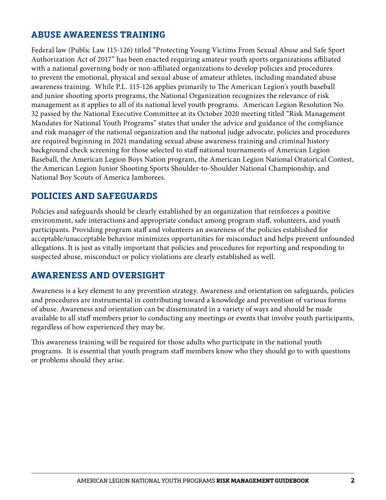### **ABUSE AWARENESS TRAINING**

Federal law (Public Law 115-126) titled "Protecting Young Victims From Sexual Abuse and Safe Sport Authorization Act of 2017" has been enacted requiring amateur youth sports organizations affiliated with a national governing body or non-affiliated organizations to develop policies and procedures to prevent the emotional, physical and sexual abuse of amateur athletes, including mandated abuse awareness training. While P.L. 115-126 applies primarily to The American Legion's youth baseball and junior shooting sports programs, the National Organization recognizes the relevance of risk management as it applies to all of its national level youth programs. American Legion Resolution No. 32 passed by the National Executive Committee at its October 2020 meeting titled "Risk Management Mandates for National Youth Programs" states that under the advice and guidance of the compliance and risk manager of the national organization and the national judge advocate, policies and procedures are required beginning in 2021 mandating sexual abuse awareness training and criminal history background check screening for those selected to staff national tournaments of American Legion Baseball, the American Legion Boys Nation program, the American Legion National Oratorical Contest, the American Legion Junior Shooting Sports Shoulder-to-Shoulder National Championship, and National Boy Scouts of America Jamborees.

### **POLICIES AND SAFEGUARDS**

Policies and safeguards should be clearly established by an organization that reinforces a positive environment, safe interactions and appropriate conduct among program staff, volunteers, and youth participants. Providing program staff and volunteers an awareness of the policies established for acceptable/unacceptable behavior minimizes opportunities for misconduct and helps prevent unfounded allegations. It is just as vitally important that policies and procedures for reporting and responding to suspected abuse, misconduct or policy violations are clearly established as well.

### **AWARENESS AND OVERSIGHT**

Awareness is a key element to any prevention strategy. Awareness and orientation on safeguards, policies and procedures are instrumental in contributing toward a knowledge and prevention of various forms of abuse. Awareness and orientation can be disseminated in a variety of ways and should be made available to all staff members prior to conducting any meetings or events that involve youth participants, regardless of how experienced they may be.

This awareness training will be required for those adults who participate in the national youth programs. It is essential that youth program staff members know who they should go to with questions or problems should they arise.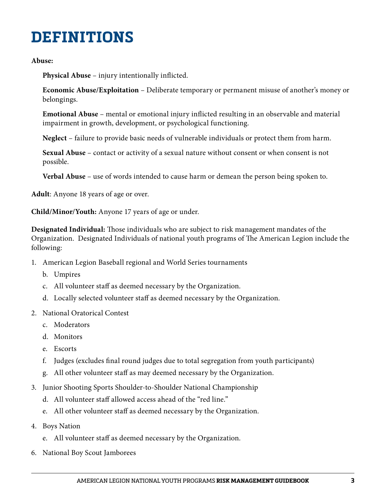# **DEFINITIONS**

#### **Abuse:**

**Physical Abuse** – injury intentionally inflicted.

**Economic Abuse/Exploitation** – Deliberate temporary or permanent misuse of another's money or belongings.

**Emotional Abuse** – mental or emotional injury inflicted resulting in an observable and material impairment in growth, development, or psychological functioning.

**Neglect** – failure to provide basic needs of vulnerable individuals or protect them from harm.

**Sexual Abuse** – contact or activity of a sexual nature without consent or when consent is not possible.

**Verbal Abuse** – use of words intended to cause harm or demean the person being spoken to.

**Adult**: Anyone 18 years of age or over.

**Child/Minor/Youth:** Anyone 17 years of age or under.

**Designated Individual:** Those individuals who are subject to risk management mandates of the Organization. Designated Individuals of national youth programs of The American Legion include the following:

- 1. American Legion Baseball regional and World Series tournaments
	- b. Umpires
	- c. All volunteer staff as deemed necessary by the Organization.
	- d. Locally selected volunteer staff as deemed necessary by the Organization.
- 2. National Oratorical Contest
	- c. Moderators
	- d. Monitors
	- e. Escorts
	- f. Judges (excludes final round judges due to total segregation from youth participants)
	- g. All other volunteer staff as may deemed necessary by the Organization.
- 3. Junior Shooting Sports Shoulder-to-Shoulder National Championship
	- d. All volunteer staff allowed access ahead of the "red line."
	- e. All other volunteer staff as deemed necessary by the Organization.
- 4. Boys Nation
	- e. All volunteer staff as deemed necessary by the Organization.
- 6. National Boy Scout Jamborees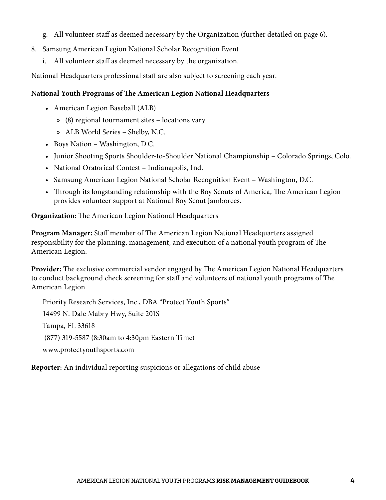- g. All volunteer staff as deemed necessary by the Organization (further detailed on page 6).
- 8. Samsung American Legion National Scholar Recognition Event
	- i. All volunteer staff as deemed necessary by the organization.

National Headquarters professional staff are also subject to screening each year.

#### **National Youth Programs of The American Legion National Headquarters**

- American Legion Baseball (ALB)
	- » (8) regional tournament sites locations vary
	- » ALB World Series Shelby, N.C.
- Boys Nation Washington, D.C.
- Junior Shooting Sports Shoulder-to-Shoulder National Championship Colorado Springs, Colo.
- National Oratorical Contest Indianapolis, Ind.
- Samsung American Legion National Scholar Recognition Event Washington, D.C.
- Through its longstanding relationship with the Boy Scouts of America, The American Legion provides volunteer support at National Boy Scout Jamborees.

**Organization:** The American Legion National Headquarters

**Program Manager:** Staff member of The American Legion National Headquarters assigned responsibility for the planning, management, and execution of a national youth program of The American Legion.

**Provider:** The exclusive commercial vendor engaged by The American Legion National Headquarters to conduct background check screening for staff and volunteers of national youth programs of The American Legion.

Priority Research Services, Inc., DBA "Protect Youth Sports" 14499 N. Dale Mabry Hwy, Suite 201S Tampa, FL 33618 (877) 319-5587 (8:30am to 4:30pm Eastern Time) www.protectyouthsports.com

**Reporter:** An individual reporting suspicions or allegations of child abuse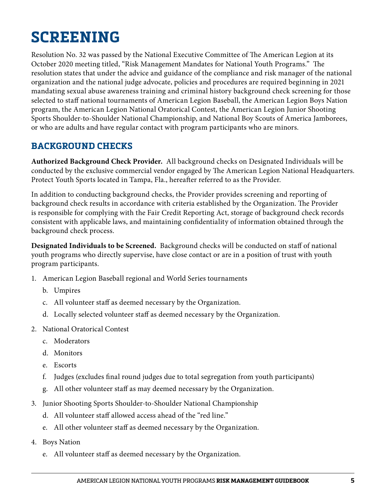# **SCREENING**

Resolution No. 32 was passed by the National Executive Committee of The American Legion at its October 2020 meeting titled, "Risk Management Mandates for National Youth Programs." The resolution states that under the advice and guidance of the compliance and risk manager of the national organization and the national judge advocate, policies and procedures are required beginning in 2021 mandating sexual abuse awareness training and criminal history background check screening for those selected to staff national tournaments of American Legion Baseball, the American Legion Boys Nation program, the American Legion National Oratorical Contest, the American Legion Junior Shooting Sports Shoulder-to-Shoulder National Championship, and National Boy Scouts of America Jamborees, or who are adults and have regular contact with program participants who are minors.

# **BACKGROUND CHECKS**

**Authorized Background Check Provider.** All background checks on Designated Individuals will be conducted by the exclusive commercial vendor engaged by The American Legion National Headquarters. Protect Youth Sports located in Tampa, Fla., hereafter referred to as the Provider.

In addition to conducting background checks, the Provider provides screening and reporting of background check results in accordance with criteria established by the Organization. The Provider is responsible for complying with the Fair Credit Reporting Act, storage of background check records consistent with applicable laws, and maintaining confidentiality of information obtained through the background check process.

**Designated Individuals to be Screened.** Background checks will be conducted on staff of national youth programs who directly supervise, have close contact or are in a position of trust with youth program participants.

- 1. American Legion Baseball regional and World Series tournaments
	- b. Umpires
	- c. All volunteer staff as deemed necessary by the Organization.
	- d. Locally selected volunteer staff as deemed necessary by the Organization.
- 2. National Oratorical Contest
	- c. Moderators
	- d. Monitors
	- e. Escorts
	- f. Judges (excludes final round judges due to total segregation from youth participants)
	- g. All other volunteer staff as may deemed necessary by the Organization.
- 3. Junior Shooting Sports Shoulder-to-Shoulder National Championship
	- d. All volunteer staff allowed access ahead of the "red line."
	- e. All other volunteer staff as deemed necessary by the Organization.
- 4. Boys Nation
	- e. All volunteer staff as deemed necessary by the Organization.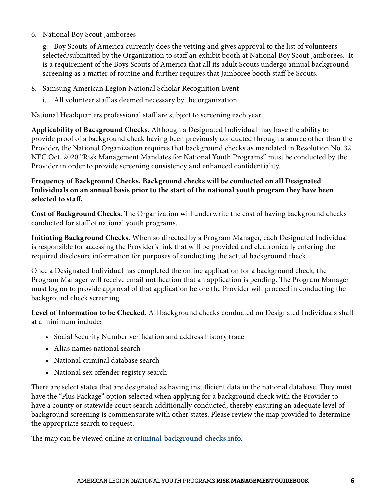6. National Boy Scout Jamborees

g. Boy Scouts of America currently does the vetting and gives approval to the list of volunteers selected/submitted by the Organization to staff an exhibit booth at National Boy Scout Jamborees. It is a requirement of the Boys Scouts of America that all its adult Scouts undergo annual background screening as a matter of routine and further requires that Jamboree booth staff be Scouts.

- 8. Samsung American Legion National Scholar Recognition Event
	- i. All volunteer staff as deemed necessary by the organization.

National Headquarters professional staff are subject to screening each year.

**Applicability of Background Checks.** Although a Designated Individual may have the ability to provide proof of a background check having been previously conducted through a source other than the Provider, the National Organization requires that background checks as mandated in Resolution No. 32 NEC Oct. 2020 "Risk Management Mandates for National Youth Programs" must be conducted by the Provider in order to provide screening consistency and enhanced confidentiality.

#### **Frequency of Background Checks. Background checks will be conducted on all Designated Individuals on an annual basis prior to the start of the national youth program they have been selected to staff.**

**Cost of Background Checks.** The Organization will underwrite the cost of having background checks conducted for staff of national youth programs.

**Initiating Background Checks.** When so directed by a Program Manager, each Designated Individual is responsible for accessing the Provider's link that will be provided and electronically entering the required disclosure information for purposes of conducting the actual background check.

Once a Designated Individual has completed the online application for a background check, the Program Manager will receive email notification that an application is pending. The Program Manager must log on to provide approval of that application before the Provider will proceed in conducting the background check screening.

**Level of Information to be Checked.** All background checks conducted on Designated Individuals shall at a minimum include:

- Social Security Number verification and address history trace
- Alias names national search
- National criminal database search
- National sex offender registry search

There are select states that are designated as having insufficient data in the national database. They must have the "Plus Package" option selected when applying for a background check with the Provider to have a county or statewide court search additionally conducted, thereby ensuring an adequate level of background screening is commensurate with other states. Please review the map provided to determine the appropriate search to request.

The map can be viewed online at **criminal-background-checks.info**.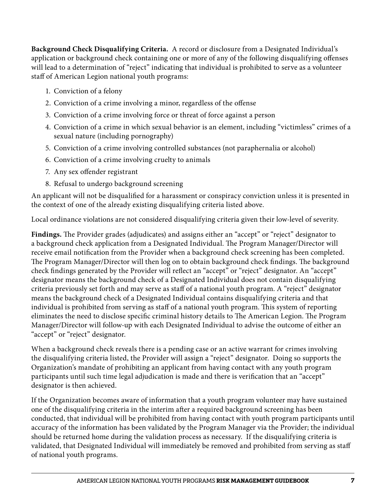**Background Check Disqualifying Criteria.** A record or disclosure from a Designated Individual's application or background check containing one or more of any of the following disqualifying offenses will lead to a determination of "reject" indicating that individual is prohibited to serve as a volunteer staff of American Legion national youth programs:

- 1. Conviction of a felony
- 2. Conviction of a crime involving a minor, regardless of the offense
- 3. Conviction of a crime involving force or threat of force against a person
- 4. Conviction of a crime in which sexual behavior is an element, including "victimless" crimes of a sexual nature (including pornography)
- 5. Conviction of a crime involving controlled substances (not paraphernalia or alcohol)
- 6. Conviction of a crime involving cruelty to animals
- 7. Any sex offender registrant
- 8. Refusal to undergo background screening

An applicant will not be disqualified for a harassment or conspiracy conviction unless it is presented in the context of one of the already existing disqualifying criteria listed above.

Local ordinance violations are not considered disqualifying criteria given their low-level of severity.

**Findings.** The Provider grades (adjudicates) and assigns either an "accept" or "reject" designator to a background check application from a Designated Individual. The Program Manager/Director will receive email notification from the Provider when a background check screening has been completed. The Program Manager/Director will then log on to obtain background check findings. The background check findings generated by the Provider will reflect an "accept" or "reject" designator. An "accept" designator means the background check of a Designated Individual does not contain disqualifying criteria previously set forth and may serve as staff of a national youth program. A "reject" designator means the background check of a Designated Individual contains disqualifying criteria and that individual is prohibited from serving as staff of a national youth program. This system of reporting eliminates the need to disclose specific criminal history details to The American Legion. The Program Manager/Director will follow-up with each Designated Individual to advise the outcome of either an "accept" or "reject" designator.

When a background check reveals there is a pending case or an active warrant for crimes involving the disqualifying criteria listed, the Provider will assign a "reject" designator. Doing so supports the Organization's mandate of prohibiting an applicant from having contact with any youth program participants until such time legal adjudication is made and there is verification that an "accept" designator is then achieved.

If the Organization becomes aware of information that a youth program volunteer may have sustained one of the disqualifying criteria in the interim after a required background screening has been conducted, that individual will be prohibited from having contact with youth program participants until accuracy of the information has been validated by the Program Manager via the Provider; the individual should be returned home during the validation process as necessary. If the disqualifying criteria is validated, that Designated Individual will immediately be removed and prohibited from serving as staff of national youth programs.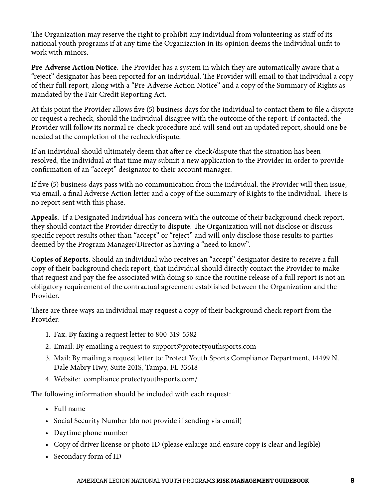The Organization may reserve the right to prohibit any individual from volunteering as staff of its national youth programs if at any time the Organization in its opinion deems the individual unfit to work with minors.

**Pre-Adverse Action Notice.** The Provider has a system in which they are automatically aware that a "reject" designator has been reported for an individual. The Provider will email to that individual a copy of their full report, along with a "Pre-Adverse Action Notice" and a copy of the Summary of Rights as mandated by the Fair Credit Reporting Act.

At this point the Provider allows five (5) business days for the individual to contact them to file a dispute or request a recheck, should the individual disagree with the outcome of the report. If contacted, the Provider will follow its normal re-check procedure and will send out an updated report, should one be needed at the completion of the recheck/dispute.

If an individual should ultimately deem that after re-check/dispute that the situation has been resolved, the individual at that time may submit a new application to the Provider in order to provide confirmation of an "accept" designator to their account manager.

If five (5) business days pass with no communication from the individual, the Provider will then issue, via email, a final Adverse Action letter and a copy of the Summary of Rights to the individual. There is no report sent with this phase.

**Appeals.** If a Designated Individual has concern with the outcome of their background check report, they should contact the Provider directly to dispute. The Organization will not disclose or discuss specific report results other than "accept" or "reject" and will only disclose those results to parties deemed by the Program Manager/Director as having a "need to know".

**Copies of Reports.** Should an individual who receives an "accept" designator desire to receive a full copy of their background check report, that individual should directly contact the Provider to make that request and pay the fee associated with doing so since the routine release of a full report is not an obligatory requirement of the contractual agreement established between the Organization and the Provider.

There are three ways an individual may request a copy of their background check report from the Provider:

- 1. Fax: By faxing a request letter to 800-319-5582
- 2. Email: By emailing a request to support@protectyouthsports.com
- 3. Mail: By mailing a request letter to: Protect Youth Sports Compliance Department, 14499 N. Dale Mabry Hwy, Suite 201S, Tampa, FL 33618
- 4. Website: compliance.protectyouthsports.com/

The following information should be included with each request:

- Full name
- Social Security Number (do not provide if sending via email)
- Daytime phone number
- Copy of driver license or photo ID (please enlarge and ensure copy is clear and legible)
- Secondary form of ID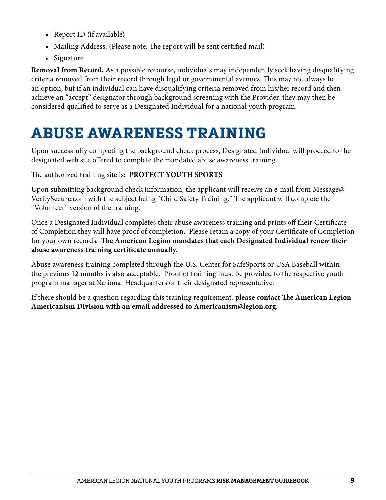- Report ID (if available)
- Mailing Address. (Please note: The report will be sent certified mail)
- Signature

**Removal from Record.** As a possible recourse, individuals may independently seek having disqualifying criteria removed from their record through legal or governmental avenues. This may not always be an option, but if an individual can have disqualifying criteria removed from his/her record and then achieve an "accept" designator through background screening with the Provider, they may then be considered qualified to serve as a Designated Individual for a national youth program.

# **ABUSE AWARENESS TRAINING**

Upon successfully completing the background check process, Designated Individual will proceed to the designated web site offered to complete the mandated abuse awareness training.

The authorized training site is: **PROTECT YOUTH SPORTS**

Upon submitting background check information, the applicant will receive an e-mail from Message@ VeritySecure.com with the subject being "Child Safety Training." The applicant will complete the "Volunteer" version of the training.

Once a Designated Individual completes their abuse awareness training and prints off their Certificate of Completion they will have proof of completion. Please retain a copy of your Certificate of Completion for your own records. **The American Legion mandates that each Designated Individual renew their abuse awareness training certificate annually.**

Abuse awareness training completed through the U.S. Center for SafeSports or USA Baseball within the previous 12 months is also acceptable. Proof of training must be provided to the respective youth program manager at National Headquarters or their designated representative.

If there should be a question regarding this training requirement, **please contact The American Legion Americanism Division with an email addressed to Americanism@legion.org.**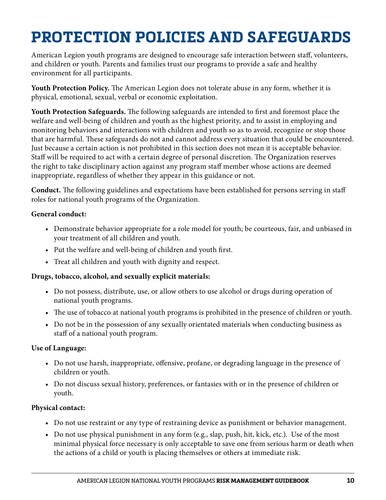# **PROTECTION POLICIES AND SAFEGUARDS**

American Legion youth programs are designed to encourage safe interaction between staff, volunteers, and children or youth. Parents and families trust our programs to provide a safe and healthy environment for all participants.

**Youth Protection Policy.** The American Legion does not tolerate abuse in any form, whether it is physical, emotional, sexual, verbal or economic exploitation.

**Youth Protection Safeguards.** The following safeguards are intended to first and foremost place the welfare and well-being of children and youth as the highest priority, and to assist in employing and monitoring behaviors and interactions with children and youth so as to avoid, recognize or stop those that are harmful. These safeguards do not and cannot address every situation that could be encountered. Just because a certain action is not prohibited in this section does not mean it is acceptable behavior. Staff will be required to act with a certain degree of personal discretion. The Organization reserves the right to take disciplinary action against any program staff member whose actions are deemed inappropriate, regardless of whether they appear in this guidance or not.

**Conduct.** The following guidelines and expectations have been established for persons serving in staff roles for national youth programs of the Organization.

#### **General conduct:**

- Demonstrate behavior appropriate for a role model for youth; be courteous, fair, and unbiased in your treatment of all children and youth.
- Put the welfare and well-being of children and youth first.
- Treat all children and youth with dignity and respect.

#### **Drugs, tobacco, alcohol, and sexually explicit materials:**

- Do not possess, distribute, use, or allow others to use alcohol or drugs during operation of national youth programs.
- The use of tobacco at national youth programs is prohibited in the presence of children or youth.
- Do not be in the possession of any sexually orientated materials when conducting business as staff of a national youth program.

#### **Use of Language:**

- Do not use harsh, inappropriate, offensive, profane, or degrading language in the presence of children or youth.
- Do not discuss sexual history, preferences, or fantasies with or in the presence of children or youth.

#### **Physical contact:**

- Do not use restraint or any type of restraining device as punishment or behavior management.
- Do not use physical punishment in any form (e.g., slap, push, hit, kick, etc.). Use of the most minimal physical force necessary is only acceptable to save one from serious harm or death when the actions of a child or youth is placing themselves or others at immediate risk.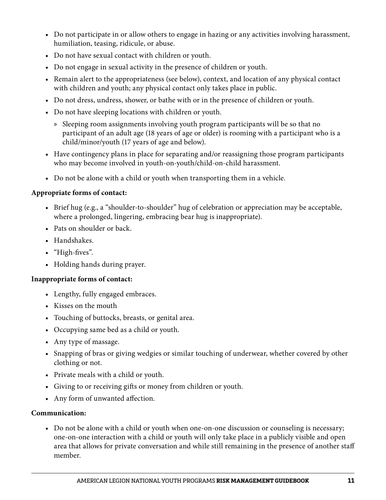- Do not participate in or allow others to engage in hazing or any activities involving harassment, humiliation, teasing, ridicule, or abuse.
- Do not have sexual contact with children or youth.
- Do not engage in sexual activity in the presence of children or youth.
- Remain alert to the appropriateness (see below), context, and location of any physical contact with children and youth; any physical contact only takes place in public.
- Do not dress, undress, shower, or bathe with or in the presence of children or youth.
- Do not have sleeping locations with children or youth.
	- » Sleeping room assignments involving youth program participants will be so that no participant of an adult age (18 years of age or older) is rooming with a participant who is a child/minor/youth (17 years of age and below).
- Have contingency plans in place for separating and/or reassigning those program participants who may become involved in youth-on-youth/child-on-child harassment.
- Do not be alone with a child or youth when transporting them in a vehicle.

#### **Appropriate forms of contact:**

- Brief hug (e.g., a "shoulder-to-shoulder" hug of celebration or appreciation may be acceptable, where a prolonged, lingering, embracing bear hug is inappropriate).
- Pats on shoulder or back.
- Handshakes.
- "High-fives".
- Holding hands during prayer.

#### **Inappropriate forms of contact:**

- Lengthy, fully engaged embraces.
- Kisses on the mouth
- Touching of buttocks, breasts, or genital area.
- Occupying same bed as a child or youth.
- Any type of massage.
- Snapping of bras or giving wedgies or similar touching of underwear, whether covered by other clothing or not.
- Private meals with a child or youth.
- Giving to or receiving gifts or money from children or youth.
- Any form of unwanted affection.

#### **Communication:**

• Do not be alone with a child or youth when one-on-one discussion or counseling is necessary; one-on-one interaction with a child or youth will only take place in a publicly visible and open area that allows for private conversation and while still remaining in the presence of another staff member.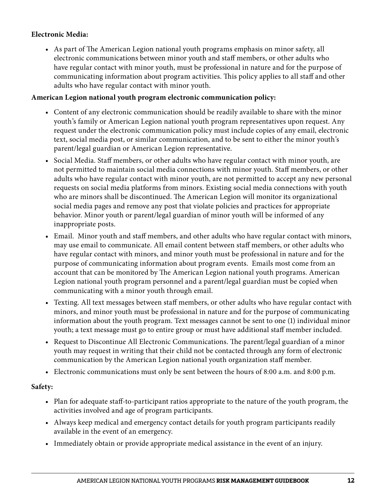#### **Electronic Media:**

• As part of The American Legion national youth programs emphasis on minor safety, all electronic communications between minor youth and staff members, or other adults who have regular contact with minor youth, must be professional in nature and for the purpose of communicating information about program activities. This policy applies to all staff and other adults who have regular contact with minor youth.

#### **American Legion national youth program electronic communication policy:**

- Content of any electronic communication should be readily available to share with the minor youth's family or American Legion national youth program representatives upon request. Any request under the electronic communication policy must include copies of any email, electronic text, social media post, or similar communication, and to be sent to either the minor youth's parent/legal guardian or American Legion representative.
- Social Media. Staff members, or other adults who have regular contact with minor youth, are not permitted to maintain social media connections with minor youth. Staff members, or other adults who have regular contact with minor youth, are not permitted to accept any new personal requests on social media platforms from minors. Existing social media connections with youth who are minors shall be discontinued. The American Legion will monitor its organizational social media pages and remove any post that violate policies and practices for appropriate behavior. Minor youth or parent/legal guardian of minor youth will be informed of any inappropriate posts.
- Email. Minor youth and staff members, and other adults who have regular contact with minors, may use email to communicate. All email content between staff members, or other adults who have regular contact with minors, and minor youth must be professional in nature and for the purpose of communicating information about program events. Emails most come from an account that can be monitored by The American Legion national youth programs. American Legion national youth program personnel and a parent/legal guardian must be copied when communicating with a minor youth through email.
- Texting. All text messages between staff members, or other adults who have regular contact with minors, and minor youth must be professional in nature and for the purpose of communicating information about the youth program. Text messages cannot be sent to one (1) individual minor youth; a text message must go to entire group or must have additional staff member included.
- Request to Discontinue All Electronic Communications. The parent/legal guardian of a minor youth may request in writing that their child not be contacted through any form of electronic communication by the American Legion national youth organization staff member.
- Electronic communications must only be sent between the hours of 8:00 a.m. and 8:00 p.m.

#### **Safety:**

- Plan for adequate staff-to-participant ratios appropriate to the nature of the youth program, the activities involved and age of program participants.
- Always keep medical and emergency contact details for youth program participants readily available in the event of an emergency.
- Immediately obtain or provide appropriate medical assistance in the event of an injury.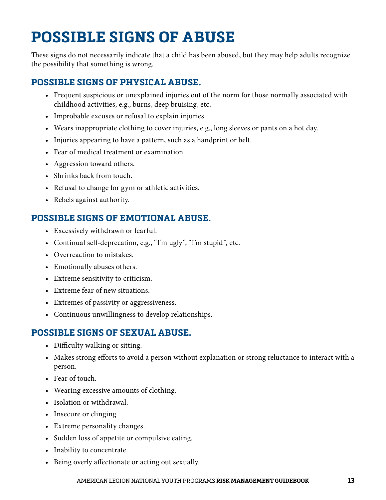# **POSSIBLE SIGNS OF ABUSE**

These signs do not necessarily indicate that a child has been abused, but they may help adults recognize the possibility that something is wrong.

# **POSSIBLE SIGNS OF PHYSICAL ABUSE.**

- Frequent suspicious or unexplained injuries out of the norm for those normally associated with childhood activities, e.g., burns, deep bruising, etc.
- Improbable excuses or refusal to explain injuries.
- Wears inappropriate clothing to cover injuries, e.g., long sleeves or pants on a hot day.
- Injuries appearing to have a pattern, such as a handprint or belt.
- Fear of medical treatment or examination.
- Aggression toward others.
- Shrinks back from touch.
- Refusal to change for gym or athletic activities.
- Rebels against authority.

# **POSSIBLE SIGNS OF EMOTIONAL ABUSE.**

- Excessively withdrawn or fearful.
- Continual self-deprecation, e.g., "I'm ugly", "I'm stupid", etc.
- Overreaction to mistakes.
- Emotionally abuses others.
- Extreme sensitivity to criticism.
- Extreme fear of new situations.
- Extremes of passivity or aggressiveness.
- Continuous unwillingness to develop relationships.

# **POSSIBLE SIGNS OF SEXUAL ABUSE.**

- Difficulty walking or sitting.
- Makes strong efforts to avoid a person without explanation or strong reluctance to interact with a person.
- Fear of touch.
- Wearing excessive amounts of clothing.
- Isolation or withdrawal.
- Insecure or clinging.
- Extreme personality changes.
- Sudden loss of appetite or compulsive eating.
- Inability to concentrate.
- Being overly affectionate or acting out sexually.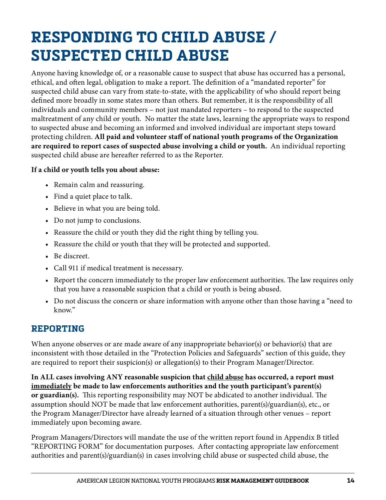# **RESPONDING TO CHILD ABUSE / SUSPECTED CHILD ABUSE**

Anyone having knowledge of, or a reasonable cause to suspect that abuse has occurred has a personal, ethical, and often legal, obligation to make a report. The definition of a "mandated reporter" for suspected child abuse can vary from state-to-state, with the applicability of who should report being defined more broadly in some states more than others. But remember, it is the responsibility of all individuals and community members – not just mandated reporters – to respond to the suspected maltreatment of any child or youth. No matter the state laws, learning the appropriate ways to respond to suspected abuse and becoming an informed and involved individual are important steps toward protecting children. **All paid and volunteer staff of national youth programs of the Organization are required to report cases of suspected abuse involving a child or youth.** An individual reporting suspected child abuse are hereafter referred to as the Reporter.

#### **If a child or youth tells you about abuse:**

- Remain calm and reassuring.
- Find a quiet place to talk.
- Believe in what you are being told.
- Do not jump to conclusions.
- Reassure the child or youth they did the right thing by telling you.
- Reassure the child or youth that they will be protected and supported.
- Be discreet.
- Call 911 if medical treatment is necessary.
- Report the concern immediately to the proper law enforcement authorities. The law requires only that you have a reasonable suspicion that a child or youth is being abused.
- Do not discuss the concern or share information with anyone other than those having a "need to know."

### **REPORTING**

When anyone observes or are made aware of any inappropriate behavior(s) or behavior(s) that are inconsistent with those detailed in the "Protection Policies and Safeguards" section of this guide, they are required to report their suspicion(s) or allegation(s) to their Program Manager/Director.

**In ALL cases involving ANY reasonable suspicion that child abuse has occurred, a report must immediately be made to law enforcements authorities and the youth participant's parent(s) or guardian(s).** This reporting responsibility may NOT be abdicated to another individual. The assumption should NOT be made that law enforcement authorities, parent(s)/guardian(s), etc., or the Program Manager/Director have already learned of a situation through other venues – report immediately upon becoming aware.

Program Managers/Directors will mandate the use of the written report found in Appendix B titled "REPORTING FORM" for documentation purposes. After contacting appropriate law enforcement authorities and parent(s)/guardian(s) in cases involving child abuse or suspected child abuse, the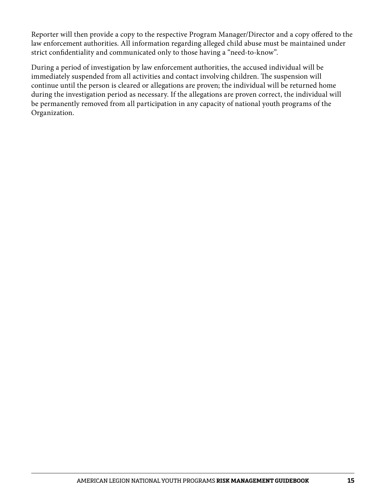Reporter will then provide a copy to the respective Program Manager/Director and a copy offered to the law enforcement authorities. All information regarding alleged child abuse must be maintained under strict confidentiality and communicated only to those having a "need-to-know".

During a period of investigation by law enforcement authorities, the accused individual will be immediately suspended from all activities and contact involving children. The suspension will continue until the person is cleared or allegations are proven; the individual will be returned home during the investigation period as necessary. If the allegations are proven correct, the individual will be permanently removed from all participation in any capacity of national youth programs of the Organization.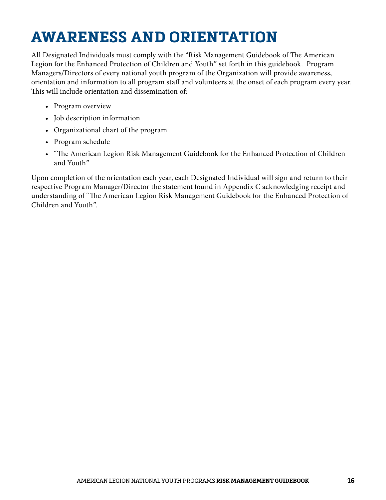# **AWARENESS AND ORIENTATION**

All Designated Individuals must comply with the "Risk Management Guidebook of The American Legion for the Enhanced Protection of Children and Youth" set forth in this guidebook. Program Managers/Directors of every national youth program of the Organization will provide awareness, orientation and information to all program staff and volunteers at the onset of each program every year. This will include orientation and dissemination of:

- Program overview
- Job description information
- Organizational chart of the program
- Program schedule
- "The American Legion Risk Management Guidebook for the Enhanced Protection of Children and Youth"

Upon completion of the orientation each year, each Designated Individual will sign and return to their respective Program Manager/Director the statement found in Appendix C acknowledging receipt and understanding of "The American Legion Risk Management Guidebook for the Enhanced Protection of Children and Youth".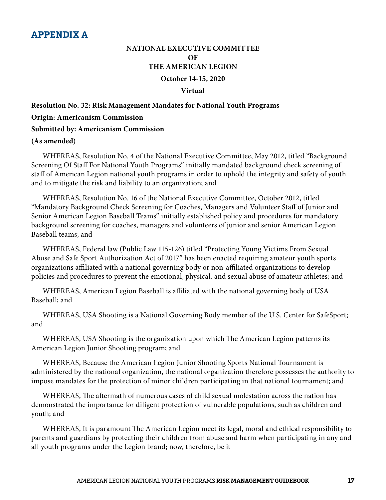### **NATIONAL EXECUTIVE COMMITTEE OF THE AMERICAN LEGION October 14-15, 2020 Virtual**

# **Resolution No. 32: Risk Management Mandates for National Youth Programs Origin: Americanism Commission Submitted by: Americanism Commission (As amended)**

WHEREAS, Resolution No. 4 of the National Executive Committee, May 2012, titled "Background Screening Of Staff For National Youth Programs" initially mandated background check screening of staff of American Legion national youth programs in order to uphold the integrity and safety of youth and to mitigate the risk and liability to an organization; and

WHEREAS, Resolution No. 16 of the National Executive Committee, October 2012, titled "Mandatory Background Check Screening for Coaches, Managers and Volunteer Staff of Junior and Senior American Legion Baseball Teams" initially established policy and procedures for mandatory background screening for coaches, managers and volunteers of junior and senior American Legion Baseball teams; and

WHEREAS, Federal law (Public Law 115-126) titled "Protecting Young Victims From Sexual Abuse and Safe Sport Authorization Act of 2017" has been enacted requiring amateur youth sports organizations affiliated with a national governing body or non-affiliated organizations to develop policies and procedures to prevent the emotional, physical, and sexual abuse of amateur athletes; and

WHEREAS, American Legion Baseball is affiliated with the national governing body of USA Baseball; and

WHEREAS, USA Shooting is a National Governing Body member of the U.S. Center for SafeSport; and

WHEREAS, USA Shooting is the organization upon which The American Legion patterns its American Legion Junior Shooting program; and

WHEREAS, Because the American Legion Junior Shooting Sports National Tournament is administered by the national organization, the national organization therefore possesses the authority to impose mandates for the protection of minor children participating in that national tournament; and

WHEREAS, The aftermath of numerous cases of child sexual molestation across the nation has demonstrated the importance for diligent protection of vulnerable populations, such as children and youth; and

WHEREAS, It is paramount The American Legion meet its legal, moral and ethical responsibility to parents and guardians by protecting their children from abuse and harm when participating in any and all youth programs under the Legion brand; now, therefore, be it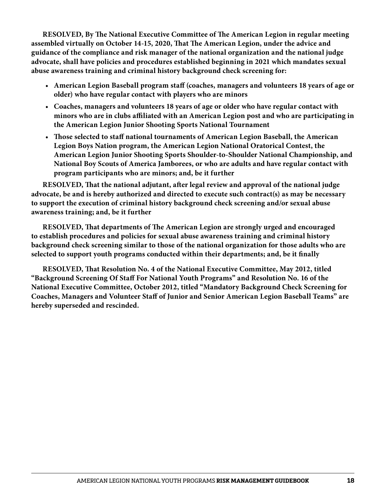**RESOLVED, By The National Executive Committee of The American Legion in regular meeting assembled virtually on October 14-15, 2020, That The American Legion, under the advice and guidance of the compliance and risk manager of the national organization and the national judge advocate, shall have policies and procedures established beginning in 2021 which mandates sexual abuse awareness training and criminal history background check screening for:**

- **American Legion Baseball program staff (coaches, managers and volunteers 18 years of age or older) who have regular contact with players who are minors**
- **Coaches, managers and volunteers 18 years of age or older who have regular contact with minors who are in clubs affiliated with an American Legion post and who are participating in the American Legion Junior Shooting Sports National Tournament**
- **Those selected to staff national tournaments of American Legion Baseball, the American Legion Boys Nation program, the American Legion National Oratorical Contest, the American Legion Junior Shooting Sports Shoulder-to-Shoulder National Championship, and National Boy Scouts of America Jamborees, or who are adults and have regular contact with program participants who are minors; and, be it further**

**RESOLVED, That the national adjutant, after legal review and approval of the national judge advocate, be and is hereby authorized and directed to execute such contract(s) as may be necessary to support the execution of criminal history background check screening and/or sexual abuse awareness training; and, be it further**

**RESOLVED, That departments of The American Legion are strongly urged and encouraged to establish procedures and policies for sexual abuse awareness training and criminal history background check screening similar to those of the national organization for those adults who are selected to support youth programs conducted within their departments; and, be it finally**

**RESOLVED, That Resolution No. 4 of the National Executive Committee, May 2012, titled "Background Screening Of Staff For National Youth Programs" and Resolution No. 16 of the National Executive Committee, October 2012, titled "Mandatory Background Check Screening for Coaches, Managers and Volunteer Staff of Junior and Senior American Legion Baseball Teams" are hereby superseded and rescinded.**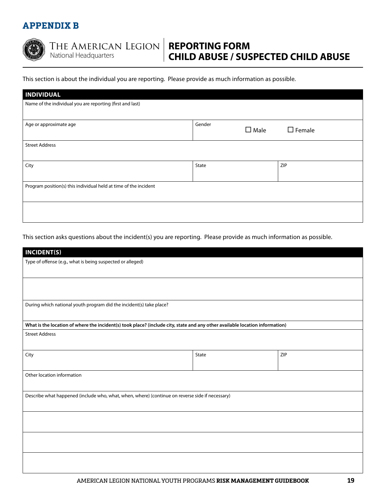### **APPENDIX B**



#### The American Legion National Headquarters

# **REPORTING FORM CHILD ABUSE / SUSPECTED CHILD ABUSE**

This section is about the individual you are reporting. Please provide as much information as possible.

| <b>INDIVIDUAL</b>                                                |                       |                  |  |
|------------------------------------------------------------------|-----------------------|------------------|--|
| Name of the individual you are reporting (first and last)        |                       |                  |  |
|                                                                  |                       |                  |  |
| Age or approximate age                                           | Gender<br>$\Box$ Male | $\square$ Female |  |
|                                                                  |                       |                  |  |
| <b>Street Address</b>                                            |                       |                  |  |
|                                                                  |                       |                  |  |
| City                                                             | State                 | ZIP              |  |
|                                                                  |                       |                  |  |
| Program position(s) this individual held at time of the incident |                       |                  |  |
|                                                                  |                       |                  |  |
|                                                                  |                       |                  |  |
|                                                                  |                       |                  |  |

This section asks questions about the incident(s) you are reporting. Please provide as much information as possible.

| <b>INCIDENT(S)</b>                                                                                                           |       |     |  |
|------------------------------------------------------------------------------------------------------------------------------|-------|-----|--|
| Type of offense (e.g., what is being suspected or alleged)                                                                   |       |     |  |
|                                                                                                                              |       |     |  |
|                                                                                                                              |       |     |  |
| During which national youth program did the incident(s) take place?                                                          |       |     |  |
| What is the location of where the incident(s) took place? (include city, state and any other available location information) |       |     |  |
| <b>Street Address</b>                                                                                                        |       |     |  |
| City                                                                                                                         | State | ZIP |  |
| Other location information                                                                                                   |       |     |  |
| Describe what happened (include who, what, when, where) (continue on reverse side if necessary)                              |       |     |  |
|                                                                                                                              |       |     |  |
|                                                                                                                              |       |     |  |
|                                                                                                                              |       |     |  |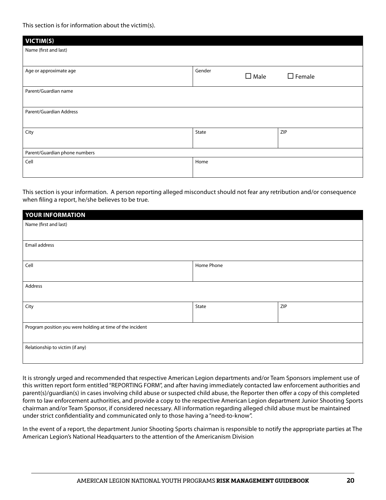This section is for information about the victim(s).

| VICTIM(S)                     |                          |                  |  |
|-------------------------------|--------------------------|------------------|--|
| Name (first and last)         |                          |                  |  |
|                               |                          |                  |  |
| Age or approximate age        | Gender<br>$\square$ Male | $\square$ Female |  |
| Parent/Guardian name          |                          |                  |  |
| Parent/Guardian Address       |                          |                  |  |
| City                          | State                    | ZIP              |  |
| Parent/Guardian phone numbers |                          |                  |  |
| Cell                          | Home                     |                  |  |
|                               |                          |                  |  |

This section is your information. A person reporting alleged misconduct should not fear any retribution and/or consequence when filing a report, he/she believes to be true.

| YOUR INFORMATION                                          |            |     |  |
|-----------------------------------------------------------|------------|-----|--|
| Name (first and last)                                     |            |     |  |
|                                                           |            |     |  |
| Email address                                             |            |     |  |
|                                                           |            |     |  |
| Cell                                                      | Home Phone |     |  |
|                                                           |            |     |  |
| Address                                                   |            |     |  |
|                                                           |            |     |  |
| City                                                      | State      | ZIP |  |
|                                                           |            |     |  |
| Program position you were holding at time of the incident |            |     |  |
|                                                           |            |     |  |
| Relationship to victim (if any)                           |            |     |  |
|                                                           |            |     |  |

It is strongly urged and recommended that respective American Legion departments and/or Team Sponsors implement use of this written report form entitled "REPORTING FORM", and after having immediately contacted law enforcement authorities and parent(s)/guardian(s) in cases involving child abuse or suspected child abuse, the Reporter then offer a copy of this completed form to law enforcement authorities, and provide a copy to the respective American Legion department Junior Shooting Sports chairman and/or Team Sponsor, if considered necessary. All information regarding alleged child abuse must be maintained under strict confidentiality and communicated only to those having a "need-to-know".

In the event of a report, the department Junior Shooting Sports chairman is responsible to notify the appropriate parties at The American Legion's National Headquarters to the attention of the Americanism Division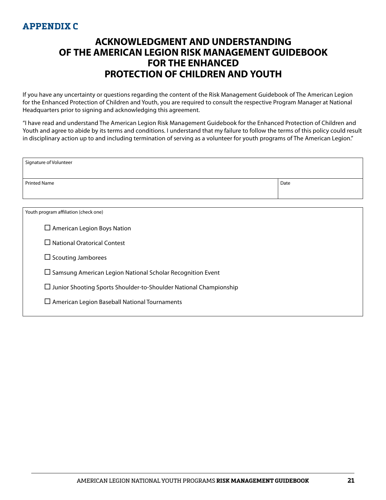### **APPENDIX C**

# **ACKNOWLEDGMENT AND UNDERSTANDING OF THE AMERICAN LEGION RISK MANAGEMENT GUIDEBOOK FOR THE ENHANCED PROTECTION OF CHILDREN AND YOUTH**

If you have any uncertainty or questions regarding the content of the Risk Management Guidebook of The American Legion for the Enhanced Protection of Children and Youth, you are required to consult the respective Program Manager at National Headquarters prior to signing and acknowledging this agreement.

"I have read and understand The American Legion Risk Management Guidebook for the Enhanced Protection of Children and Youth and agree to abide by its terms and conditions. I understand that my failure to follow the terms of this policy could result in disciplinary action up to and including termination of serving as a volunteer for youth programs of The American Legion."

| Signature of Volunteer                                                   |      |  |  |
|--------------------------------------------------------------------------|------|--|--|
| <b>Printed Name</b>                                                      | Date |  |  |
|                                                                          |      |  |  |
| Youth program affiliation (check one)                                    |      |  |  |
| $\Box$ American Legion Boys Nation                                       |      |  |  |
| $\Box$ National Oratorical Contest                                       |      |  |  |
| $\Box$ Scouting Jamborees                                                |      |  |  |
| $\Box$ Samsung American Legion National Scholar Recognition Event        |      |  |  |
| $\Box$ Junior Shooting Sports Shoulder-to-Shoulder National Championship |      |  |  |
| $\Box$ American Legion Baseball National Tournaments                     |      |  |  |
|                                                                          |      |  |  |